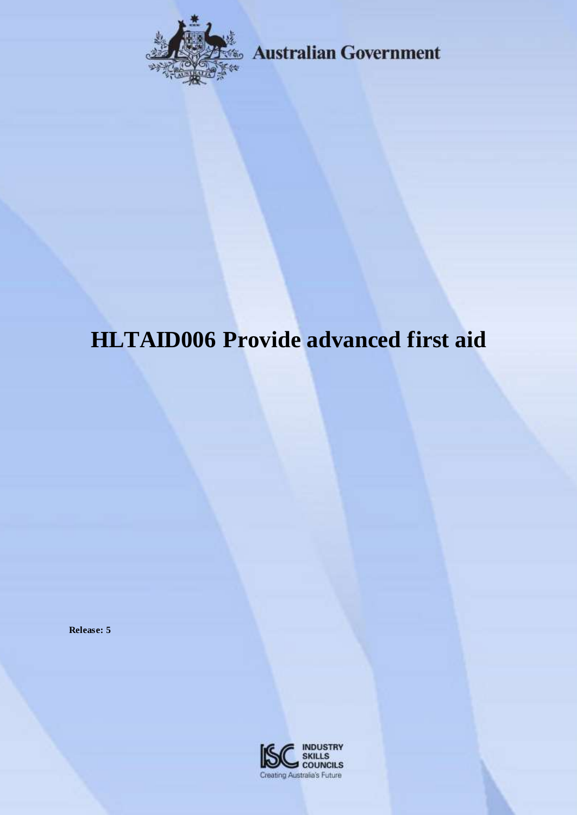

**Australian Government** 

# **HLTAID006 Provide advanced first aid**

**Release: 5**

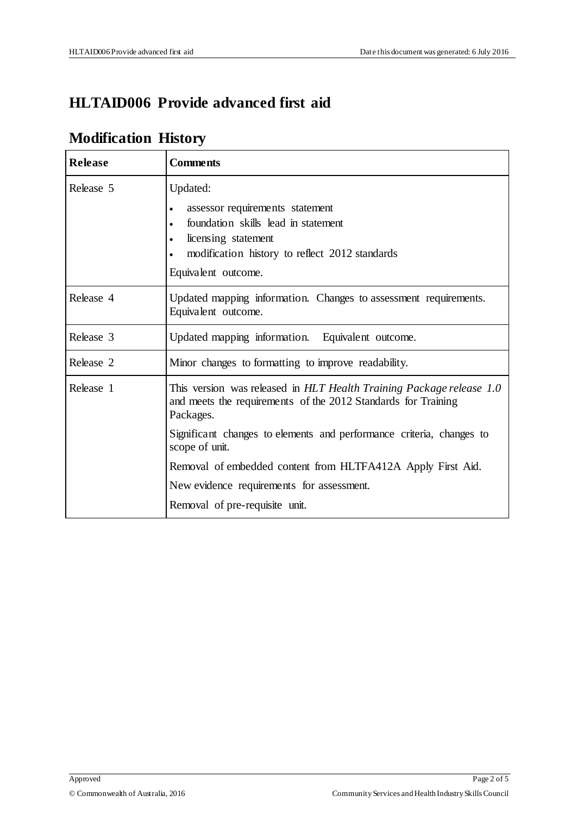### **HLTAID006 Provide advanced first aid**

## **Modification History**

| <b>Release</b> | <b>Comments</b>                                                                                                                                    |
|----------------|----------------------------------------------------------------------------------------------------------------------------------------------------|
| Release 5      | Updated:                                                                                                                                           |
|                | assessor requirements statement<br>$\bullet$                                                                                                       |
|                | foundation skills lead in statement<br>$\bullet$                                                                                                   |
|                | licensing statement<br>$\bullet$<br>modification history to reflect 2012 standards                                                                 |
|                | Equivalent outcome.                                                                                                                                |
| Release 4      | Updated mapping information. Changes to assessment requirements.<br>Equivalent outcome.                                                            |
| Release 3      | Updated mapping information. Equivalent outcome.                                                                                                   |
| Release 2      | Minor changes to formatting to improve readability.                                                                                                |
| Release 1      | This version was released in HLT Health Training Package release 1.0<br>and meets the requirements of the 2012 Standards for Training<br>Packages. |
|                | Significant changes to elements and performance criteria, changes to<br>scope of unit.                                                             |
|                | Removal of embedded content from HLTFA412A Apply First Aid.                                                                                        |
|                | New evidence requirements for assessment.                                                                                                          |
|                | Removal of pre-requisite unit.                                                                                                                     |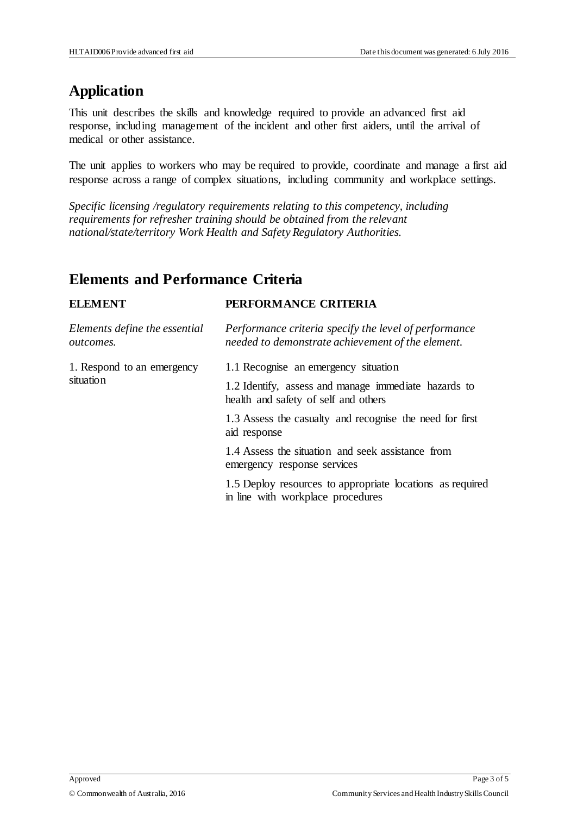### **Application**

This unit describes the skills and knowledge required to provide an advanced first aid response, including management of the incident and other first aiders, until the arrival of medical or other assistance.

The unit applies to workers who may be required to provide, coordinate and manage a first aid response across a range of complex situations, including community and workplace settings.

*Specific licensing /regulatory requirements relating to this competency, including requirements for refresher training should be obtained from the relevant national/state/territory Work Health and Safety Regulatory Authorities.*

### **Elements and Performance Criteria**

| <b>ELEMENT</b>                                    | PERFORMANCE CRITERIA                                                                                       |
|---------------------------------------------------|------------------------------------------------------------------------------------------------------------|
| Elements define the essential<br><i>outcomes.</i> | Performance criteria specify the level of performance<br>needed to demonstrate achievement of the element. |
| 1. Respond to an emergency                        | 1.1 Recognise an emergency situation                                                                       |
| situation                                         | 1.2 Identify, assess and manage immediate hazards to<br>health and safety of self and others               |
|                                                   | 1.3 Assess the casualty and recognise the need for first<br>aid response                                   |
|                                                   | 1.4 Assess the situation and seek assistance from<br>emergency response services                           |
|                                                   | 1.5 Deploy resources to appropriate locations as required<br>in line with workplace procedures             |
|                                                   |                                                                                                            |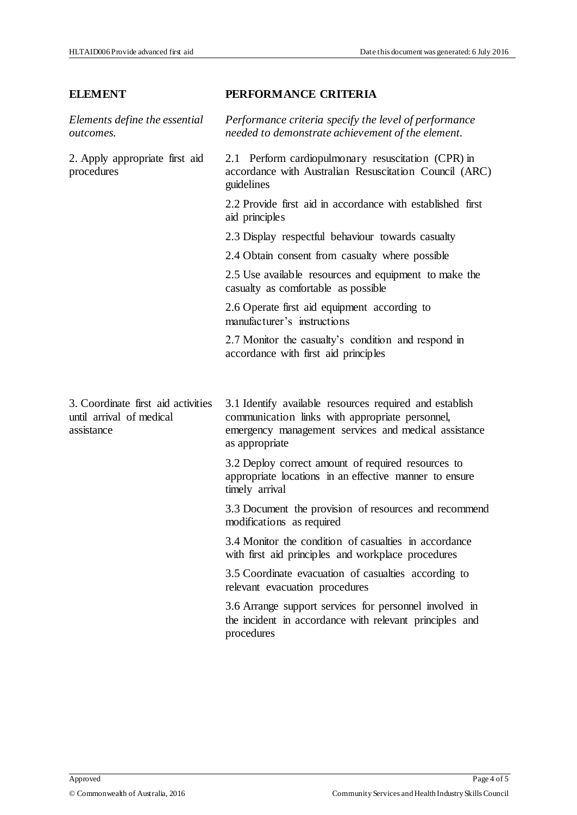### **ELEMENT PERFORMANCE CRITERIA**

*Elements define the essential outcomes. Performance criteria specify the level of performance needed to demonstrate achievement of the element.*  2. Apply appropriate first aid procedures 2.1 Perform cardiopulmonary resuscitation (CPR) in accordance with Australian Resuscitation Council (ARC) guidelines 2.2 Provide first aid in accordance with established first aid principles 2.3 Display respectful behaviour towards casualty 2.4 Obtain consent from casualty where possible 2.5 Use available resources and equipment to make the casualty as comfortable as possible 2.6 Operate first aid equipment according to manufacturer's instructions 2.7 Monitor the casualty's condition and respond in accordance with first aid principles 3. Coordinate first aid activities until arrival of medical assistance 3.1 Identify available resources required and establish communication links with appropriate personnel, emergency management services and medical assistance as appropriate 3.2 Deploy correct amount of required resources to appropriate locations in an effective manner to ensure timely arrival 3.3 Document the provision of resources and recommend modifications as required 3.4 Monitor the condition of casualties in accordance with first aid principles and workplace procedures 3.5 Coordinate evacuation of casualties according to relevant evacuation procedures 3.6 Arrange support services for personnel involved in the incident in accordance with relevant principles and procedures